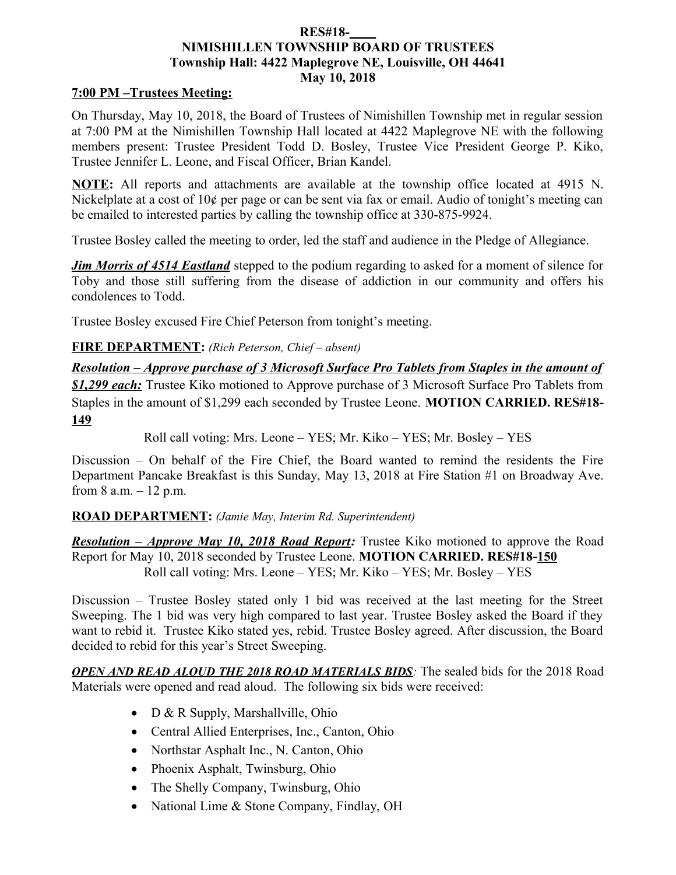### **RES#18-\_\_\_\_ NIMISHILLEN TOWNSHIP BOARD OF TRUSTEES Township Hall: 4422 Maplegrove NE, Louisville, OH 44641 May 10, 2018**

### **7:00 PM –Trustees Meeting:**

On Thursday, May 10, 2018, the Board of Trustees of Nimishillen Township met in regular session at 7:00 PM at the Nimishillen Township Hall located at 4422 Maplegrove NE with the following members present: Trustee President Todd D. Bosley, Trustee Vice President George P. Kiko, Trustee Jennifer L. Leone, and Fiscal Officer, Brian Kandel.

**NOTE:** All reports and attachments are available at the township office located at 4915 N. Nickelplate at a cost of 10¢ per page or can be sent via fax or email. Audio of tonight's meeting can be emailed to interested parties by calling the township office at 330-875-9924.

Trustee Bosley called the meeting to order, led the staff and audience in the Pledge of Allegiance.

*Jim Morris of 4514 Eastland* stepped to the podium regarding to asked for a moment of silence for Toby and those still suffering from the disease of addiction in our community and offers his condolences to Todd.

Trustee Bosley excused Fire Chief Peterson from tonight's meeting.

# **FIRE DEPARTMENT:** *(Rich Peterson, Chief – absent)*

*Resolution – Approve purchase of 3 Microsoft Surface Pro Tablets from Staples in the amount of \$1,299 each:* Trustee Kiko motioned to Approve purchase of 3 Microsoft Surface Pro Tablets from Staples in the amount of \$1,299 each seconded by Trustee Leone. **MOTION CARRIED. RES#18- 149**

Roll call voting: Mrs. Leone – YES; Mr. Kiko – YES; Mr. Bosley – YES

Discussion – On behalf of the Fire Chief, the Board wanted to remind the residents the Fire Department Pancake Breakfast is this Sunday, May 13, 2018 at Fire Station #1 on Broadway Ave. from  $8$  a.m.  $-12$  p.m.

### **ROAD DEPARTMENT:** *(Jamie May, Interim Rd. Superintendent)*

*Resolution – Approve May 10, 2018 Road Report:* Trustee Kiko motioned to approve the Road Report for May 10, 2018 seconded by Trustee Leone. **MOTION CARRIED. RES#18-150** Roll call voting: Mrs. Leone – YES; Mr. Kiko – YES; Mr. Bosley – YES

Discussion – Trustee Bosley stated only 1 bid was received at the last meeting for the Street Sweeping. The 1 bid was very high compared to last year. Trustee Bosley asked the Board if they want to rebid it. Trustee Kiko stated yes, rebid. Trustee Bosley agreed. After discussion, the Board decided to rebid for this year's Street Sweeping.

*OPEN AND READ ALOUD THE 2018 ROAD MATERIALS BIDS:* The sealed bids for the 2018 Road Materials were opened and read aloud. The following six bids were received:

- D & R Supply, Marshallville, Ohio
- Central Allied Enterprises, Inc., Canton, Ohio
- Northstar Asphalt Inc., N. Canton, Ohio
- Phoenix Asphalt, Twinsburg, Ohio
- The Shelly Company, Twinsburg, Ohio
- National Lime & Stone Company, Findlay, OH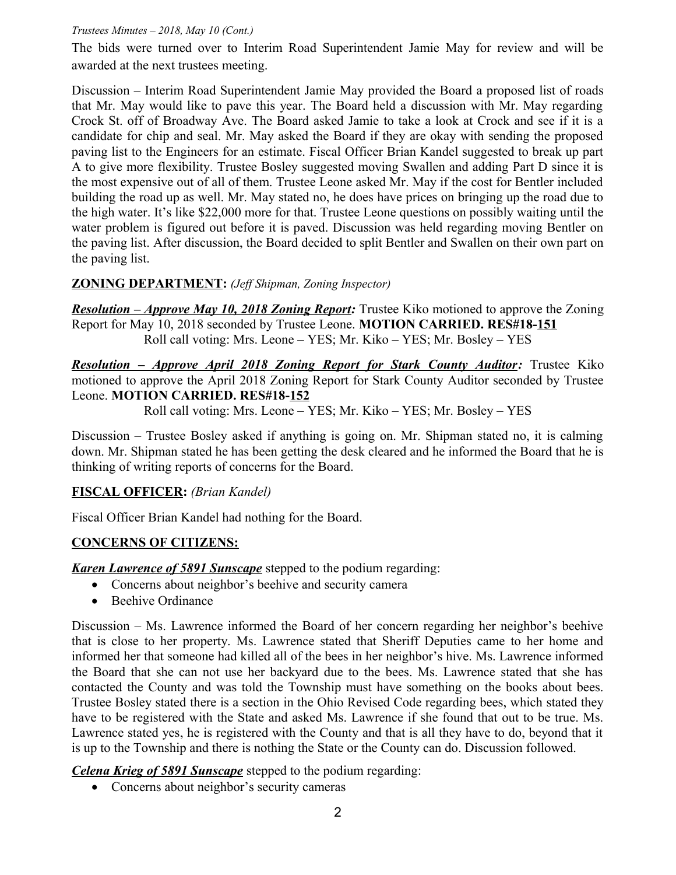### *Trustees Minutes – 2018, May 10 (Cont.)*

The bids were turned over to Interim Road Superintendent Jamie May for review and will be awarded at the next trustees meeting.

Discussion – Interim Road Superintendent Jamie May provided the Board a proposed list of roads that Mr. May would like to pave this year. The Board held a discussion with Mr. May regarding Crock St. off of Broadway Ave. The Board asked Jamie to take a look at Crock and see if it is a candidate for chip and seal. Mr. May asked the Board if they are okay with sending the proposed paving list to the Engineers for an estimate. Fiscal Officer Brian Kandel suggested to break up part A to give more flexibility. Trustee Bosley suggested moving Swallen and adding Part D since it is the most expensive out of all of them. Trustee Leone asked Mr. May if the cost for Bentler included building the road up as well. Mr. May stated no, he does have prices on bringing up the road due to the high water. It's like \$22,000 more for that. Trustee Leone questions on possibly waiting until the water problem is figured out before it is paved. Discussion was held regarding moving Bentler on the paving list. After discussion, the Board decided to split Bentler and Swallen on their own part on the paving list.

### **ZONING DEPARTMENT:** *(Jeff Shipman, Zoning Inspector)*

*Resolution – Approve May 10, 2018 Zoning Report:* Trustee Kiko motioned to approve the Zoning Report for May 10, 2018 seconded by Trustee Leone. **MOTION CARRIED. RES#18-151** Roll call voting: Mrs. Leone – YES; Mr. Kiko – YES; Mr. Bosley – YES

*Resolution – Approve April 2018 Zoning Report for Stark County Auditor:* Trustee Kiko motioned to approve the April 2018 Zoning Report for Stark County Auditor seconded by Trustee Leone. **MOTION CARRIED. RES#18-152**

Roll call voting: Mrs. Leone – YES; Mr. Kiko – YES; Mr. Bosley – YES

Discussion – Trustee Bosley asked if anything is going on. Mr. Shipman stated no, it is calming down. Mr. Shipman stated he has been getting the desk cleared and he informed the Board that he is thinking of writing reports of concerns for the Board.

# **FISCAL OFFICER:** *(Brian Kandel)*

Fiscal Officer Brian Kandel had nothing for the Board.

### **CONCERNS OF CITIZENS:**

**Karen Lawrence of 5891 Sunscape** stepped to the podium regarding:

- Concerns about neighbor's beehive and security camera
- Beehive Ordinance

Discussion – Ms. Lawrence informed the Board of her concern regarding her neighbor's beehive that is close to her property. Ms. Lawrence stated that Sheriff Deputies came to her home and informed her that someone had killed all of the bees in her neighbor's hive. Ms. Lawrence informed the Board that she can not use her backyard due to the bees. Ms. Lawrence stated that she has contacted the County and was told the Township must have something on the books about bees. Trustee Bosley stated there is a section in the Ohio Revised Code regarding bees, which stated they have to be registered with the State and asked Ms. Lawrence if she found that out to be true. Ms. Lawrence stated yes, he is registered with the County and that is all they have to do, beyond that it is up to the Township and there is nothing the State or the County can do. Discussion followed.

*Celena Krieg of 5891 Sunscape* stepped to the podium regarding:

• Concerns about neighbor's security cameras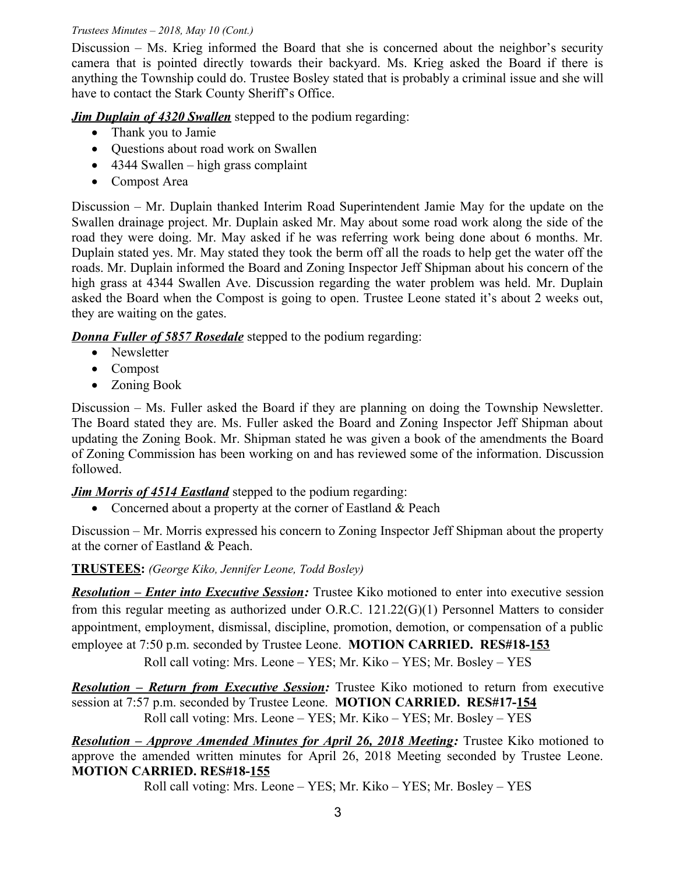#### *Trustees Minutes – 2018, May 10 (Cont.)*

Discussion – Ms. Krieg informed the Board that she is concerned about the neighbor's security camera that is pointed directly towards their backyard. Ms. Krieg asked the Board if there is anything the Township could do. Trustee Bosley stated that is probably a criminal issue and she will have to contact the Stark County Sheriff's Office.

*Jim Duplain of 4320 Swallen* stepped to the podium regarding:

- Thank you to Jamie
- Questions about road work on Swallen
- $\bullet$  4344 Swallen high grass complaint
- Compost Area

Discussion – Mr. Duplain thanked Interim Road Superintendent Jamie May for the update on the Swallen drainage project. Mr. Duplain asked Mr. May about some road work along the side of the road they were doing. Mr. May asked if he was referring work being done about 6 months. Mr. Duplain stated yes. Mr. May stated they took the berm off all the roads to help get the water off the roads. Mr. Duplain informed the Board and Zoning Inspector Jeff Shipman about his concern of the high grass at 4344 Swallen Ave. Discussion regarding the water problem was held. Mr. Duplain asked the Board when the Compost is going to open. Trustee Leone stated it's about 2 weeks out, they are waiting on the gates.

*Donna Fuller of 5857 Rosedale* stepped to the podium regarding:

- Newsletter
- Compost
- Zoning Book

Discussion – Ms. Fuller asked the Board if they are planning on doing the Township Newsletter. The Board stated they are. Ms. Fuller asked the Board and Zoning Inspector Jeff Shipman about updating the Zoning Book. Mr. Shipman stated he was given a book of the amendments the Board of Zoning Commission has been working on and has reviewed some of the information. Discussion followed.

# *Jim Morris of 4514 Eastland* stepped to the podium regarding:

• Concerned about a property at the corner of Eastland & Peach

Discussion – Mr. Morris expressed his concern to Zoning Inspector Jeff Shipman about the property at the corner of Eastland & Peach.

# **TRUSTEES:** *(George Kiko, Jennifer Leone, Todd Bosley)*

*Resolution – Enter into Executive Session:* Trustee Kiko motioned to enter into executive session from this regular meeting as authorized under O.R.C. 121.22(G)(1) Personnel Matters to consider appointment, employment, dismissal, discipline, promotion, demotion, or compensation of a public employee at 7:50 p.m. seconded by Trustee Leone. **MOTION CARRIED. RES#18-153**

Roll call voting: Mrs. Leone – YES; Mr. Kiko – YES; Mr. Bosley – YES

*Resolution – Return from Executive Session:* Trustee Kiko motioned to return from executive session at 7:57 p.m. seconded by Trustee Leone. **MOTION CARRIED. RES#17-154** Roll call voting: Mrs. Leone – YES; Mr. Kiko – YES; Mr. Bosley – YES

*Resolution – Approve Amended Minutes for April 26, 2018 Meeting:* **Trustee Kiko motioned to** approve the amended written minutes for April 26, 2018 Meeting seconded by Trustee Leone. **MOTION CARRIED. RES#18-155**

Roll call voting: Mrs. Leone – YES; Mr. Kiko – YES; Mr. Bosley – YES